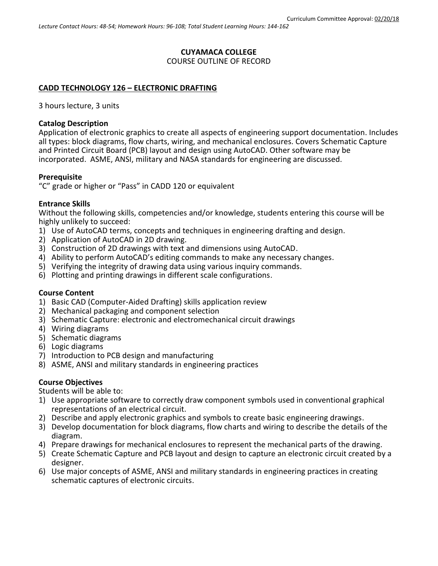#### **CUYAMACA COLLEGE** COURSE OUTLINE OF RECORD

## **CADD TECHNOLOGY 126 – ELECTRONIC DRAFTING**

3 hours lecture, 3 units

#### **Catalog Description**

Application of electronic graphics to create all aspects of engineering support documentation. Includes all types: block diagrams, flow charts, wiring, and mechanical enclosures. Covers Schematic Capture and Printed Circuit Board (PCB) layout and design using AutoCAD. Other software may be incorporated. ASME, ANSI, military and NASA standards for engineering are discussed.

#### **Prerequisite**

"C" grade or higher or "Pass" in CADD 120 or equivalent

#### **Entrance Skills**

Without the following skills, competencies and/or knowledge, students entering this course will be highly unlikely to succeed:

- 1) Use of AutoCAD terms, concepts and techniques in engineering drafting and design.
- 2) Application of AutoCAD in 2D drawing.
- 3) Construction of 2D drawings with text and dimensions using AutoCAD.
- 4) Ability to perform AutoCAD's editing commands to make any necessary changes.
- 5) Verifying the integrity of drawing data using various inquiry commands.
- 6) Plotting and printing drawings in different scale configurations.

# **Course Content**

- 1) Basic CAD (Computer-Aided Drafting) skills application review
- 2) Mechanical packaging and component selection
- 3) Schematic Capture: electronic and electromechanical circuit drawings
- 4) Wiring diagrams
- 5) Schematic diagrams
- 6) Logic diagrams
- 7) Introduction to PCB design and manufacturing
- 8) ASME, ANSI and military standards in engineering practices

## **Course Objectives**

Students will be able to:

- 1) Use appropriate software to correctly draw component symbols used in conventional graphical representations of an electrical circuit.
- 2) Describe and apply electronic graphics and symbols to create basic engineering drawings.
- 3) Develop documentation for block diagrams, flow charts and wiring to describe the details of the diagram.
- 4) Prepare drawings for mechanical enclosures to represent the mechanical parts of the drawing.
- 5) Create Schematic Capture and PCB layout and design to capture an electronic circuit created by a designer.
- 6) Use major concepts of ASME, ANSI and military standards in engineering practices in creating schematic captures of electronic circuits.